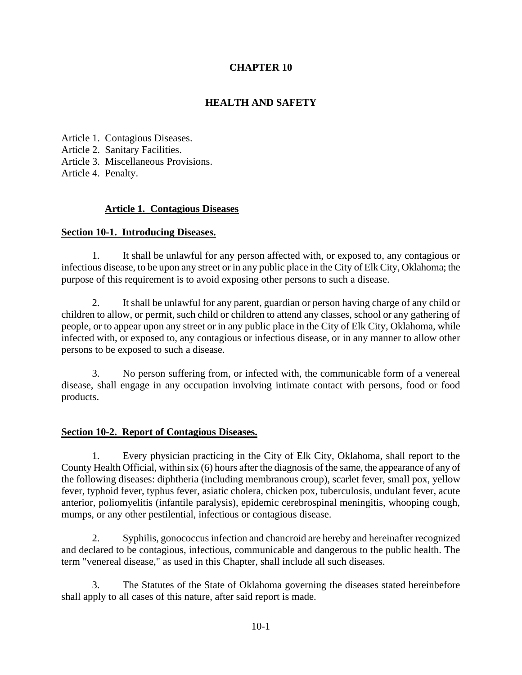# **CHAPTER 10**

# **HEALTH AND SAFETY**

Article 1. Contagious Diseases. Article 2. Sanitary Facilities. Article 3. Miscellaneous Provisions. Article 4. Penalty.

## **Article 1. Contagious Diseases**

### **Section 10-1. Introducing Diseases.**

1. It shall be unlawful for any person affected with, or exposed to, any contagious or infectious disease, to be upon any street or in any public place in the City of Elk City, Oklahoma; the purpose of this requirement is to avoid exposing other persons to such a disease.

2. It shall be unlawful for any parent, guardian or person having charge of any child or children to allow, or permit, such child or children to attend any classes, school or any gathering of people, or to appear upon any street or in any public place in the City of Elk City, Oklahoma, while infected with, or exposed to, any contagious or infectious disease, or in any manner to allow other persons to be exposed to such a disease.

3. No person suffering from, or infected with, the communicable form of a venereal disease, shall engage in any occupation involving intimate contact with persons, food or food products.

### **Section 10-2. Report of Contagious Diseases.**

1. Every physician practicing in the City of Elk City, Oklahoma, shall report to the County Health Official, within six (6) hours after the diagnosis of the same, the appearance of any of the following diseases: diphtheria (including membranous croup), scarlet fever, small pox, yellow fever, typhoid fever, typhus fever, asiatic cholera, chicken pox, tuberculosis, undulant fever, acute anterior, poliomyelitis (infantile paralysis), epidemic cerebrospinal meningitis, whooping cough, mumps, or any other pestilential, infectious or contagious disease.

2. Syphilis, gonococcus infection and chancroid are hereby and hereinafter recognized and declared to be contagious, infectious, communicable and dangerous to the public health. The term "venereal disease," as used in this Chapter, shall include all such diseases.

3. The Statutes of the State of Oklahoma governing the diseases stated hereinbefore shall apply to all cases of this nature, after said report is made.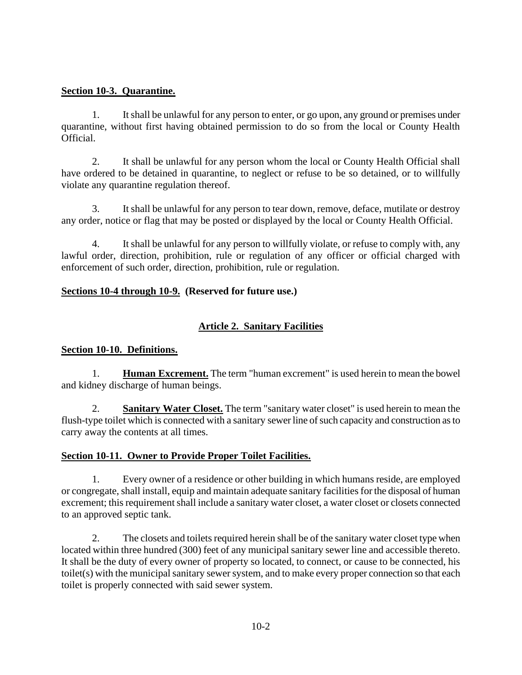## **Section 10-3. Quarantine.**

1. It shall be unlawful for any person to enter, or go upon, any ground or premises under quarantine, without first having obtained permission to do so from the local or County Health Official.

2. It shall be unlawful for any person whom the local or County Health Official shall have ordered to be detained in quarantine, to neglect or refuse to be so detained, or to willfully violate any quarantine regulation thereof.

3. It shall be unlawful for any person to tear down, remove, deface, mutilate or destroy any order, notice or flag that may be posted or displayed by the local or County Health Official.

4. It shall be unlawful for any person to willfully violate, or refuse to comply with, any lawful order, direction, prohibition, rule or regulation of any officer or official charged with enforcement of such order, direction, prohibition, rule or regulation.

## **Sections 10-4 through 10-9. (Reserved for future use.)**

# **Article 2. Sanitary Facilities**

## **Section 10-10. Definitions.**

1. **Human Excrement.** The term "human excrement" is used herein to mean the bowel and kidney discharge of human beings.

2. **Sanitary Water Closet.** The term "sanitary water closet" is used herein to mean the flush-type toilet which is connected with a sanitary sewer line of such capacity and construction as to carry away the contents at all times.

## **Section 10-11. Owner to Provide Proper Toilet Facilities.**

1. Every owner of a residence or other building in which humans reside, are employed or congregate, shall install, equip and maintain adequate sanitary facilities for the disposal of human excrement; this requirement shall include a sanitary water closet, a water closet or closets connected to an approved septic tank.

2. The closets and toilets required herein shall be of the sanitary water closet type when located within three hundred (300) feet of any municipal sanitary sewer line and accessible thereto. It shall be the duty of every owner of property so located, to connect, or cause to be connected, his toilet(s) with the municipal sanitary sewer system, and to make every proper connection so that each toilet is properly connected with said sewer system.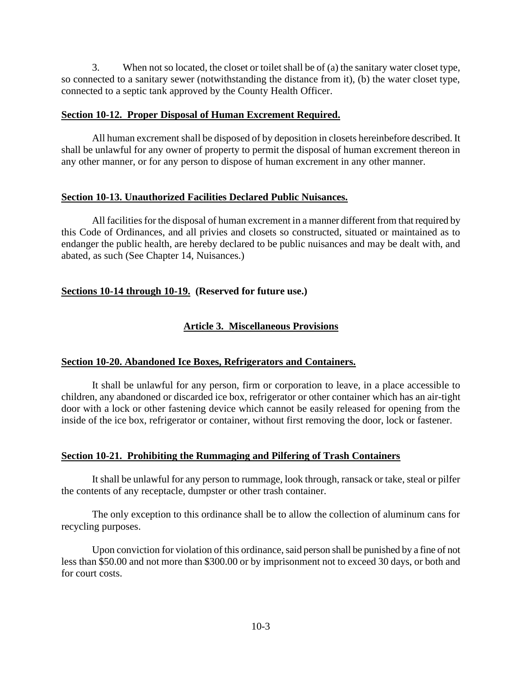3. When not so located, the closet or toilet shall be of (a) the sanitary water closet type, so connected to a sanitary sewer (notwithstanding the distance from it), (b) the water closet type, connected to a septic tank approved by the County Health Officer.

### **Section 10-12. Proper Disposal of Human Excrement Required.**

All human excrement shall be disposed of by deposition in closets hereinbefore described. It shall be unlawful for any owner of property to permit the disposal of human excrement thereon in any other manner, or for any person to dispose of human excrement in any other manner.

### **Section 10-13. Unauthorized Facilities Declared Public Nuisances.**

All facilities for the disposal of human excrement in a manner different from that required by this Code of Ordinances, and all privies and closets so constructed, situated or maintained as to endanger the public health, are hereby declared to be public nuisances and may be dealt with, and abated, as such (See Chapter 14, Nuisances.)

# **Sections 10-14 through 10-19. (Reserved for future use.)**

# **Article 3. Miscellaneous Provisions**

## **Section 10-20. Abandoned Ice Boxes, Refrigerators and Containers.**

It shall be unlawful for any person, firm or corporation to leave, in a place accessible to children, any abandoned or discarded ice box, refrigerator or other container which has an air-tight door with a lock or other fastening device which cannot be easily released for opening from the inside of the ice box, refrigerator or container, without first removing the door, lock or fastener.

## **Section 10-21. Prohibiting the Rummaging and Pilfering of Trash Containers**

It shall be unlawful for any person to rummage, look through, ransack or take, steal or pilfer the contents of any receptacle, dumpster or other trash container.

The only exception to this ordinance shall be to allow the collection of aluminum cans for recycling purposes.

Upon conviction for violation of this ordinance, said person shall be punished by a fine of not less than \$50.00 and not more than \$300.00 or by imprisonment not to exceed 30 days, or both and for court costs.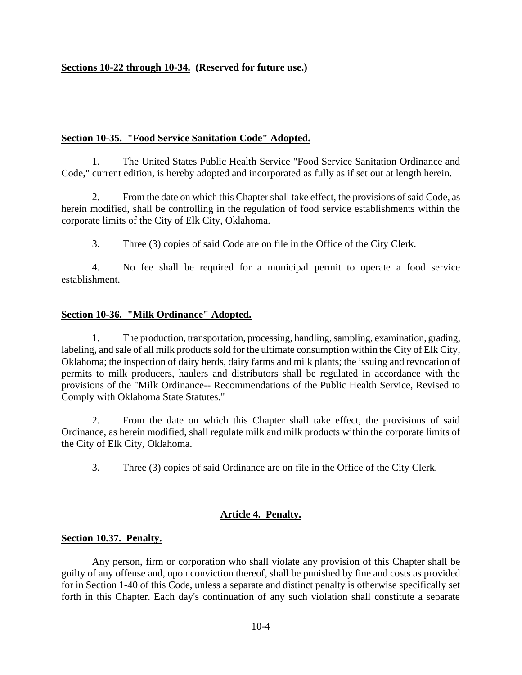## **Sections 10-22 through 10-34. (Reserved for future use.)**

### **Section 10-35. "Food Service Sanitation Code" Adopted.**

1. The United States Public Health Service "Food Service Sanitation Ordinance and Code," current edition, is hereby adopted and incorporated as fully as if set out at length herein.

2. From the date on which this Chapter shall take effect, the provisions of said Code, as herein modified, shall be controlling in the regulation of food service establishments within the corporate limits of the City of Elk City, Oklahoma.

3. Three (3) copies of said Code are on file in the Office of the City Clerk.

4. No fee shall be required for a municipal permit to operate a food service establishment.

#### **Section 10-36. "Milk Ordinance" Adopted.**

1. The production, transportation, processing, handling, sampling, examination, grading, labeling, and sale of all milk products sold for the ultimate consumption within the City of Elk City, Oklahoma; the inspection of dairy herds, dairy farms and milk plants; the issuing and revocation of permits to milk producers, haulers and distributors shall be regulated in accordance with the provisions of the "Milk Ordinance-- Recommendations of the Public Health Service, Revised to Comply with Oklahoma State Statutes."

2. From the date on which this Chapter shall take effect, the provisions of said Ordinance, as herein modified, shall regulate milk and milk products within the corporate limits of the City of Elk City, Oklahoma.

3. Three (3) copies of said Ordinance are on file in the Office of the City Clerk.

### **Article 4. Penalty.**

#### **Section 10.37. Penalty.**

Any person, firm or corporation who shall violate any provision of this Chapter shall be guilty of any offense and, upon conviction thereof, shall be punished by fine and costs as provided for in Section 1-40 of this Code, unless a separate and distinct penalty is otherwise specifically set forth in this Chapter. Each day's continuation of any such violation shall constitute a separate